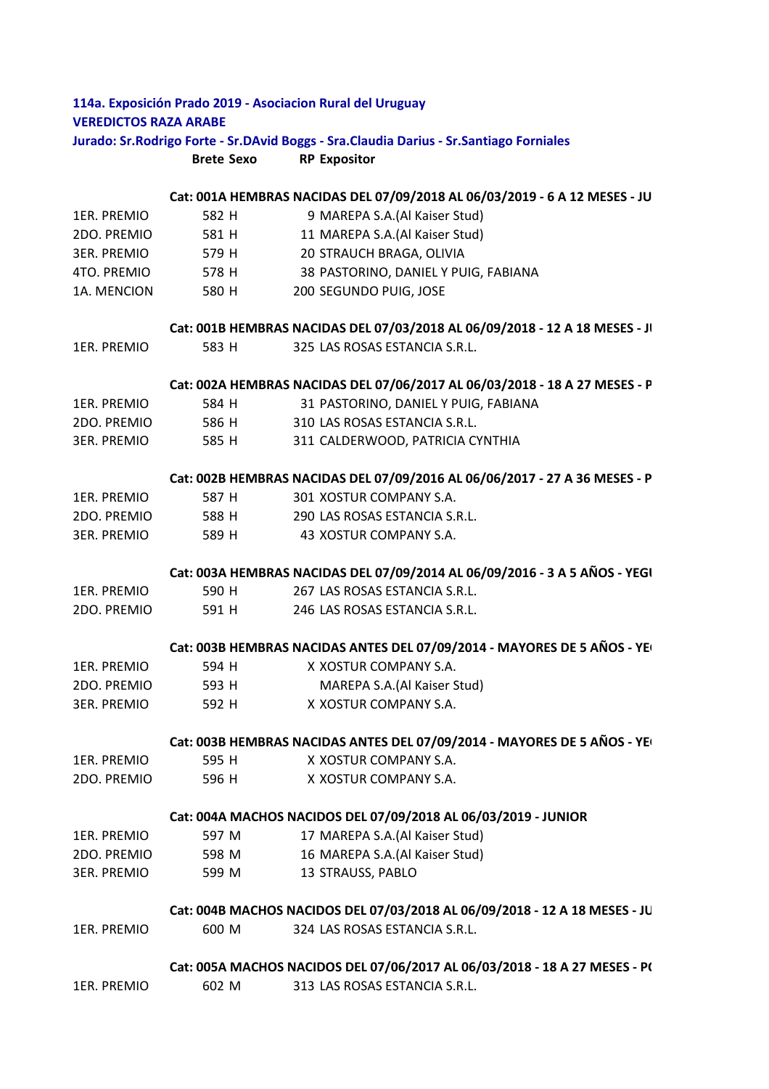| <b>VEREDICTOS RAZA ARABE</b> |                   | 114a. Exposición Prado 2019 - Asociacion Rural del Uruguay                                 |  |
|------------------------------|-------------------|--------------------------------------------------------------------------------------------|--|
|                              |                   | Jurado: Sr. Rodrigo Forte - Sr. DAvid Boggs - Sra. Claudia Darius - Sr. Santiago Forniales |  |
|                              | <b>Brete Sexo</b> | <b>RP Expositor</b>                                                                        |  |
|                              |                   |                                                                                            |  |
|                              |                   | Cat: 001A HEMBRAS NACIDAS DEL 07/09/2018 AL 06/03/2019 - 6 A 12 MESES - JU                 |  |
| 1ER. PREMIO                  | 582 H             | 9 MAREPA S.A.(Al Kaiser Stud)                                                              |  |
| 2DO. PREMIO                  | 581 H             | 11 MAREPA S.A.(Al Kaiser Stud)                                                             |  |
| <b>3ER. PREMIO</b>           | 579 H             | 20 STRAUCH BRAGA, OLIVIA                                                                   |  |
| 4TO. PREMIO                  | 578 H             | 38 PASTORINO, DANIEL Y PUIG, FABIANA                                                       |  |
| 1A. MENCION                  | 580 H             | 200 SEGUNDO PUIG, JOSE                                                                     |  |
|                              |                   | Cat: 001B HEMBRAS NACIDAS DEL 07/03/2018 AL 06/09/2018 - 12 A 18 MESES - JI                |  |
| 1ER. PREMIO                  | 583 H             | 325 LAS ROSAS ESTANCIA S.R.L.                                                              |  |
|                              |                   | Cat: 002A HEMBRAS NACIDAS DEL 07/06/2017 AL 06/03/2018 - 18 A 27 MESES - P                 |  |
| 1ER. PREMIO                  | 584 H             | 31 PASTORINO, DANIEL Y PUIG, FABIANA                                                       |  |
| 2DO. PREMIO                  | 586 H             | 310 LAS ROSAS ESTANCIA S.R.L.                                                              |  |
| 3ER. PREMIO                  | 585 H             | 311 CALDERWOOD, PATRICIA CYNTHIA                                                           |  |
|                              |                   |                                                                                            |  |
|                              |                   | Cat: 002B HEMBRAS NACIDAS DEL 07/09/2016 AL 06/06/2017 - 27 A 36 MESES - P                 |  |
| 1ER. PREMIO                  | 587 H             | 301 XOSTUR COMPANY S.A.                                                                    |  |
| 2DO. PREMIO                  |                   | 588 H 290 LAS ROSAS ESTANCIA S.R.L.                                                        |  |
| <b>3ER. PREMIO</b>           | 589 H             | 43 XOSTUR COMPANY S.A.                                                                     |  |
|                              |                   | Cat: 003A HEMBRAS NACIDAS DEL 07/09/2014 AL 06/09/2016 - 3 A 5 AÑOS - YEGI                 |  |
| 1ER. PREMIO                  | 590 H             | 267 LAS ROSAS ESTANCIA S.R.L.                                                              |  |
| 2DO. PREMIO                  | 591 H             | 246 LAS ROSAS ESTANCIA S.R.L.                                                              |  |
|                              |                   | Cat: 003B HEMBRAS NACIDAS ANTES DEL 07/09/2014 - MAYORES DE 5 AÑOS - YE                    |  |
| 1ER. PREMIO                  | 594 H             | X XOSTUR COMPANY S.A.                                                                      |  |
| 2DO. PREMIO                  | 593 H             | MAREPA S.A.(Al Kaiser Stud)                                                                |  |
| <b>3ER. PREMIO</b>           | 592 H             | X XOSTUR COMPANY S.A.                                                                      |  |
|                              |                   | Cat: 003B HEMBRAS NACIDAS ANTES DEL 07/09/2014 - MAYORES DE 5 AÑOS - YE                    |  |
| 1ER. PREMIO                  | 595 H             | X XOSTUR COMPANY S.A.                                                                      |  |
| 2DO. PREMIO                  | 596 H             | X XOSTUR COMPANY S.A.                                                                      |  |
|                              |                   | Cat: 004A MACHOS NACIDOS DEL 07/09/2018 AL 06/03/2019 - JUNIOR                             |  |
| 1ER. PREMIO                  | 597 M             | 17 MAREPA S.A.(Al Kaiser Stud)                                                             |  |
| 2DO. PREMIO                  | 598 M             | 16 MAREPA S.A.(Al Kaiser Stud)                                                             |  |
| <b>3ER. PREMIO</b>           | 599 M             | 13 STRAUSS, PABLO                                                                          |  |
|                              |                   | Cat: 004B MACHOS NACIDOS DEL 07/03/2018 AL 06/09/2018 - 12 A 18 MESES - JU                 |  |
| 1ER. PREMIO                  | 600 M             | 324 LAS ROSAS ESTANCIA S.R.L.                                                              |  |
|                              |                   | Cat: 005A MACHOS NACIDOS DEL 07/06/2017 AL 06/03/2018 - 18 A 27 MESES - P(                 |  |
| 1ER. PREMIO                  | 602 M             | 313 LAS ROSAS ESTANCIA S.R.L.                                                              |  |
|                              |                   |                                                                                            |  |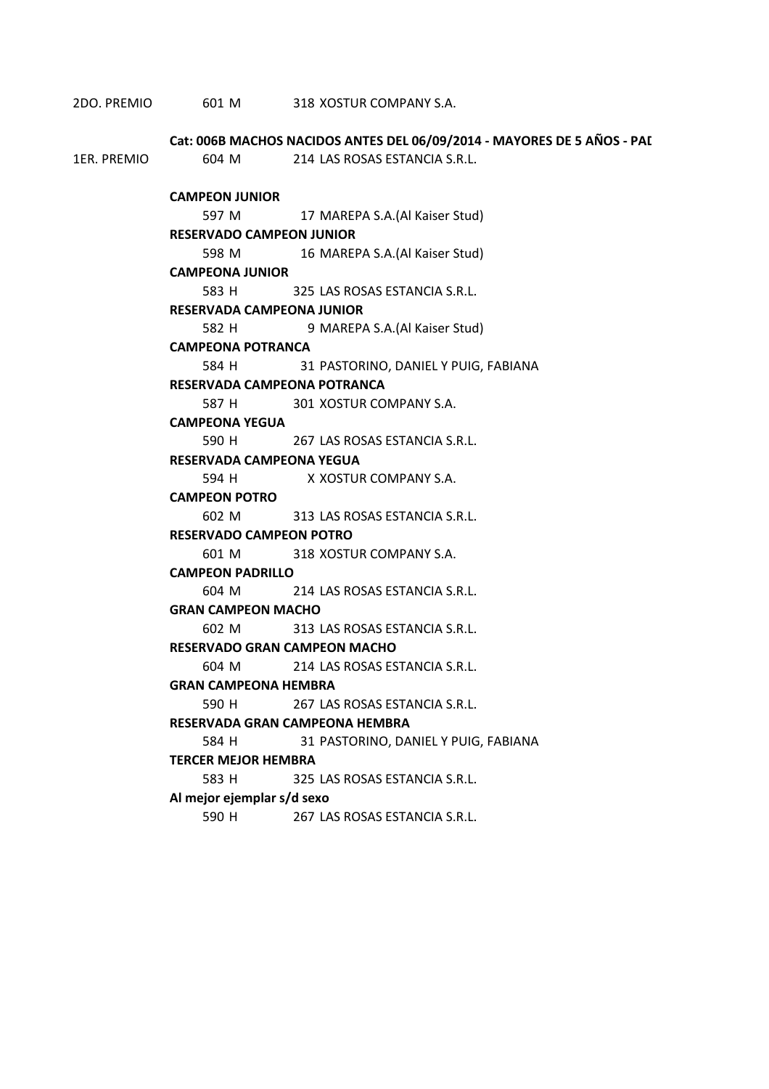2DO. PREMIO 601 M 318 XOSTUR COMPANY S.A.

|             | Cat: 006B MACHOS NACIDOS ANTES DEL 06/09/2014 - MAYORES DE 5 AÑOS - PAI |                                            |  |  |
|-------------|-------------------------------------------------------------------------|--------------------------------------------|--|--|
| 1ER. PREMIO |                                                                         | 604 M 214 LAS ROSAS ESTANCIA S.R.L.        |  |  |
|             |                                                                         |                                            |  |  |
|             | <b>CAMPEON JUNIOR</b>                                                   |                                            |  |  |
|             |                                                                         | 597 M 17 MAREPA S.A. (Al Kaiser Stud)      |  |  |
|             | <b>RESERVADO CAMPEON JUNIOR</b>                                         |                                            |  |  |
|             | 598 M                                                                   | 16 MAREPA S.A. (Al Kaiser Stud)            |  |  |
|             | <b>CAMPEONA JUNIOR</b><br>583 H 325 LAS ROSAS ESTANCIA S.R.L.           |                                            |  |  |
|             | <b>RESERVADA CAMPEONA JUNIOR</b>                                        |                                            |  |  |
|             |                                                                         |                                            |  |  |
|             | 582 H<br><b>CAMPEONA POTRANCA</b>                                       | 9 MAREPA S.A.(Al Kaiser Stud)              |  |  |
|             |                                                                         | 584 H 31 PASTORINO, DANIEL Y PUIG, FABIANA |  |  |
|             | RESERVADA CAMPEONA POTRANCA                                             |                                            |  |  |
|             |                                                                         | 587 H 301 XOSTUR COMPANY S.A.              |  |  |
|             | <b>CAMPEONA YEGUA</b>                                                   |                                            |  |  |
|             |                                                                         | 590 H 267 LAS ROSAS ESTANCIA S.R.L.        |  |  |
|             | <b>RESERVADA CAMPEONA YEGUA</b>                                         |                                            |  |  |
|             |                                                                         | 594 H X XOSTUR COMPANY S.A.                |  |  |
|             | <b>CAMPEON POTRO</b>                                                    |                                            |  |  |
|             |                                                                         | 602 M 313 LAS ROSAS ESTANCIA S.R.L.        |  |  |
|             | <b>RESERVADO CAMPEON POTRO</b>                                          |                                            |  |  |
|             |                                                                         | 601 M 318 XOSTUR COMPANY S.A.              |  |  |
|             | <b>CAMPEON PADRILLO</b>                                                 |                                            |  |  |
|             |                                                                         | 604 M 214 LAS ROSAS ESTANCIA S.R.L.        |  |  |
|             | <b>GRAN CAMPEON MACHO</b>                                               |                                            |  |  |
|             |                                                                         | 602 M 313 LAS ROSAS ESTANCIA S.R.L.        |  |  |
|             | <b>RESERVADO GRAN CAMPEON MACHO</b>                                     |                                            |  |  |
|             |                                                                         | 604 M 214 LAS ROSAS ESTANCIA S.R.L.        |  |  |
|             | <b>GRAN CAMPEONA HEMBRA</b>                                             |                                            |  |  |
|             |                                                                         | 590 H 267 LAS ROSAS ESTANCIA S.R.L.        |  |  |
|             | RESERVADA GRAN CAMPEONA HEMBRA                                          |                                            |  |  |
|             | 584 H                                                                   | 31 PASTORINO, DANIEL Y PUIG, FABIANA       |  |  |
|             | <b>TERCER MEJOR HEMBRA</b>                                              |                                            |  |  |
|             | 583 H                                                                   | 325 LAS ROSAS ESTANCIA S.R.L.              |  |  |
|             | Al mejor ejemplar s/d sexo                                              |                                            |  |  |
|             | 590 H                                                                   | 267 LAS ROSAS ESTANCIA S.R.L.              |  |  |
|             |                                                                         |                                            |  |  |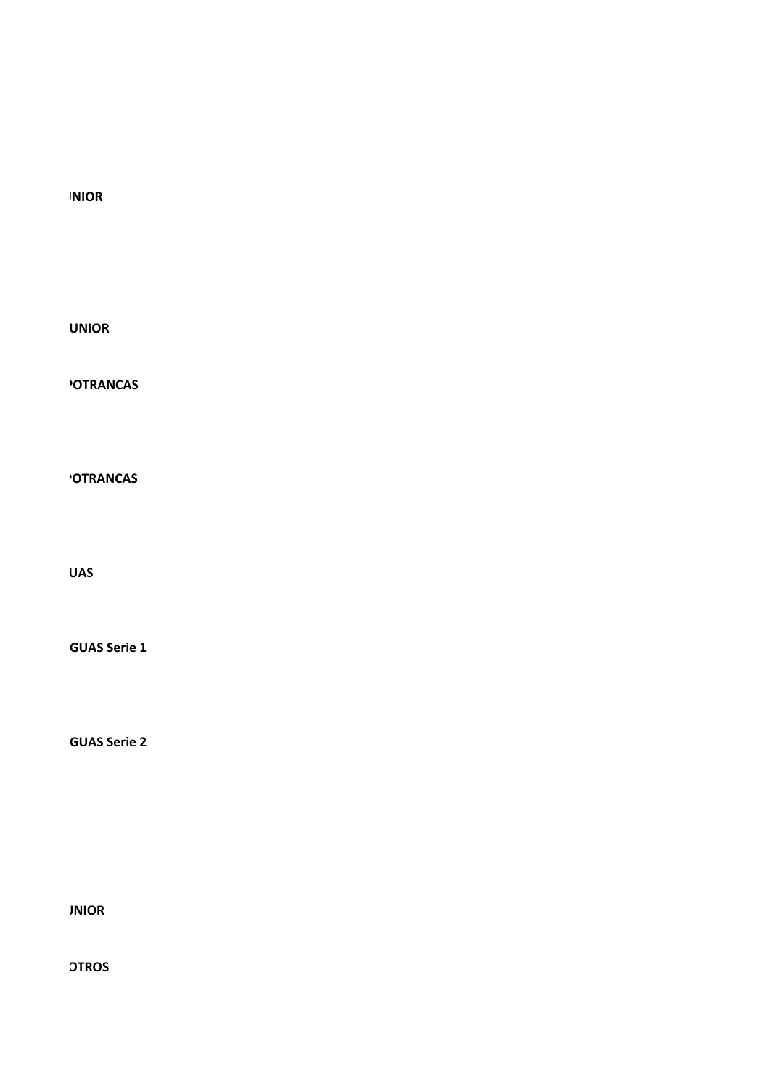**CATE: 001** 

**CONSIDER UNIOR** 

**'OTRANCAS** 

**'OTRANCAS** 

 $\overline{\mathsf{U}}$ AS

**GUAS Serie 1** 

**GUAS Serie 2** 

**CALCE INIOR** 

**CONSTREED DER OS**